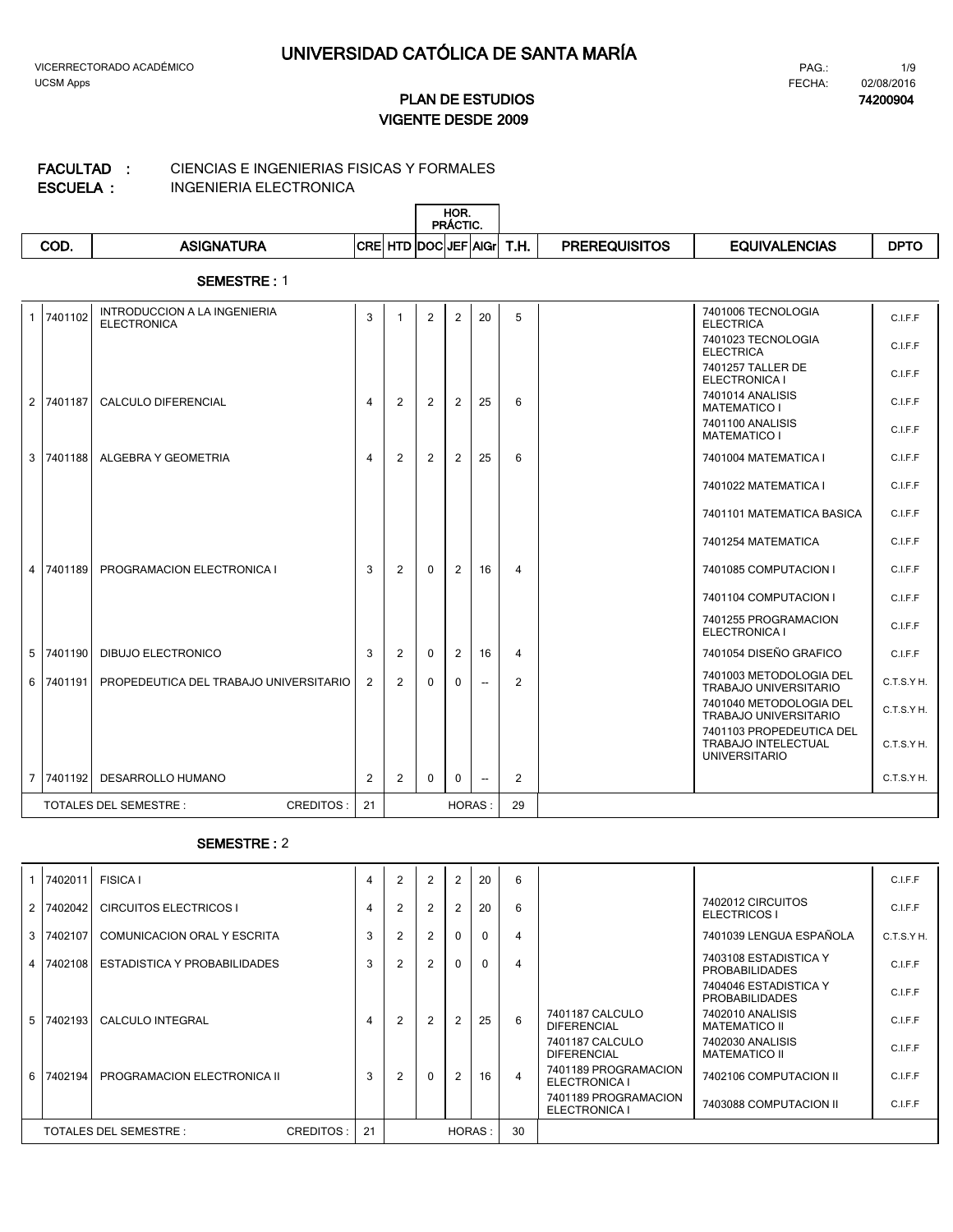#### **ECTRONICA** CIENCIAS E INGENIERIAS FISICAS Y FORMALES **FACULTAD :**

| ESCUELA : |  | <b>INGENIERIA EL</b> |  |
|-----------|--|----------------------|--|

|      |                   |            |                  | HOR.<br>PRÁCTIC. |      |                      |                      |             |
|------|-------------------|------------|------------------|------------------|------|----------------------|----------------------|-------------|
| COD. | <b>ASIGNATURA</b> | <b>CRE</b> | HTD DOCIJEFIAIGr |                  | T.H. | <b>PREREQUISITOS</b> | <b>EQUIVALENCIAS</b> | <b>DPTO</b> |

#### **SEMESTRE :** 1

| $\mathbf{1}$ | 7401102   | <b>INTRODUCCION A LA INGENIERIA</b><br><b>ELECTRONICA</b> | 3  |   | 2            | $\overline{2}$ | 20                       | 5              | 7401006 TECNOLOGIA<br><b>ELECTRICA</b>                                         | <b>C.LE.F</b> |
|--------------|-----------|-----------------------------------------------------------|----|---|--------------|----------------|--------------------------|----------------|--------------------------------------------------------------------------------|---------------|
|              |           |                                                           |    |   |              |                |                          |                | 7401023 TECNOLOGIA<br><b>ELECTRICA</b>                                         | C.I.F.F       |
|              |           |                                                           |    |   |              |                |                          |                | 7401257 TALLER DE<br><b>ELECTRONICA I</b>                                      | C.I.F.F       |
|              | 2 7401187 | <b>CALCULO DIFERENCIAL</b>                                | 4  | 2 | 2            | 2              | 25                       | 6              | 7401014 ANALISIS<br><b>MATEMATICO I</b>                                        | C.I.F.F       |
|              |           |                                                           |    |   |              |                |                          |                | 7401100 ANALISIS<br><b>MATEMATICO I</b>                                        | C.I.F.F       |
|              | 3 7401188 | ALGEBRA Y GEOMETRIA                                       | 4  | 2 | 2            | 2              | 25                       | 6              | 7401004 MATEMATICA I                                                           | C.I.F.F       |
|              |           |                                                           |    |   |              |                |                          |                | 7401022 MATEMATICA I                                                           | C.I.F.F       |
|              |           |                                                           |    |   |              |                |                          |                | 7401101 MATEMATICA BASICA                                                      | C.I.F.F       |
|              |           |                                                           |    |   |              |                |                          |                | 7401254 MATEMATICA                                                             | C.I.F.F       |
|              | 4 7401189 | PROGRAMACION ELECTRONICA I                                | 3  | 2 | $\mathbf{0}$ | 2              | 16                       | $\overline{4}$ | 7401085 COMPUTACION I                                                          | C.I.F.F       |
|              |           |                                                           |    |   |              |                |                          |                | 7401104 COMPUTACION I                                                          | C.I.F.F       |
|              |           |                                                           |    |   |              |                |                          |                | 7401255 PROGRAMACION<br>ELECTRONICA I                                          | C.I.F.F       |
|              | 5 7401190 | <b>DIBUJO ELECTRONICO</b>                                 | 3  | 2 | $\mathbf{0}$ | 2              | 16                       | $\overline{4}$ | 7401054 DISEÑO GRAFICO                                                         | C.I.F.F       |
|              | 6 7401191 | PROPEDEUTICA DEL TRABAJO UNIVERSITARIO                    | 2  | 2 | $\mathbf{0}$ | $\mathbf{0}$   | $\overline{\phantom{a}}$ | 2              | 7401003 METODOLOGIA DEL<br><b>TRABAJO UNIVERSITARIO</b>                        | C.T.S.YH.     |
|              |           |                                                           |    |   |              |                |                          |                | 7401040 METODOLOGIA DEL<br><b>TRABAJO UNIVERSITARIO</b>                        | C.T.S.Y H.    |
|              |           |                                                           |    |   |              |                |                          |                | 7401103 PROPEDEUTICA DEL<br><b>TRABAJO INTELECTUAL</b><br><b>UNIVERSITARIO</b> | C.T.S.Y H.    |
|              | 7 7401192 | DESARROLLO HUMANO                                         | 2  | 2 | $\mathbf{0}$ | $\mathbf{0}$   | $\overline{\phantom{a}}$ | 2              |                                                                                | C.T.S.Y H.    |
|              |           | <b>TOTALES DEL SEMESTRE:</b><br><b>CREDITOS:</b>          | 21 |   |              | <b>HORAS:</b>  |                          | 29             |                                                                                |               |

|                | 7402011   | <b>FISICA I</b>                     | $\overline{4}$ | 2              | $\overline{2}$ | 2              | 20       | 6              |                                       |                                                | C.I.F.F   |
|----------------|-----------|-------------------------------------|----------------|----------------|----------------|----------------|----------|----------------|---------------------------------------|------------------------------------------------|-----------|
| 2              | 7402042   | <b>CIRCUITOS ELECTRICOS I</b>       | 4              | 2              | $\overline{2}$ | $\overline{2}$ | 20       | 6              |                                       | 7402012 CIRCUITOS<br><b>ELECTRICOS I</b>       | C.I.F.F   |
| 3              | 7402107   | COMUNICACION ORAL Y ESCRITA         | 3              | $\overline{2}$ | 2              | $\Omega$       | $\Omega$ | 4              |                                       | 7401039 LENGUA ESPAÑOLA                        | C.T.S.YH. |
| 4 <sup>1</sup> | 7402108   | ESTADISTICA Y PROBABILIDADES        | 3              | $\overline{2}$ | $\overline{2}$ | $\Omega$       | $\Omega$ | $\overline{4}$ |                                       | 7403108 ESTADISTICA Y<br><b>PROBABILIDADES</b> | C.I.F.F   |
|                |           |                                     |                |                |                |                |          |                |                                       | 7404046 ESTADISTICA Y<br><b>PROBABILIDADES</b> | C.I.F.F   |
| 5              | 7402193   | <b>CALCULO INTEGRAL</b>             | 4              | $\overline{2}$ | $\overline{2}$ | $\overline{2}$ | 25       | 6              | 7401187 CALCULO<br><b>DIFERENCIAL</b> | 7402010 ANALISIS<br><b>MATEMATICO II</b>       | C.I.F.F   |
|                |           |                                     |                |                |                |                |          |                | 7401187 CALCULO<br><b>DIFERENCIAL</b> | 7402030 ANALISIS<br><b>MATEMATICO II</b>       | C.I.F.F   |
|                | 6 7402194 | PROGRAMACION ELECTRONICA II         | 3              | $\overline{2}$ | $\mathbf{0}$   | 2              | 16       | $\overline{4}$ | 7401189 PROGRAMACION<br>ELECTRONICA I | 7402106 COMPUTACION II                         | C.I.F.F   |
|                |           |                                     |                |                |                |                |          |                | 7401189 PROGRAMACION<br>ELECTRONICA I | 7403088 COMPUTACION II                         | C.I.F.F   |
|                |           | TOTALES DEL SEMESTRE :<br>CREDITOS: | 21             |                |                |                | HORAS:   | 30             |                                       |                                                |           |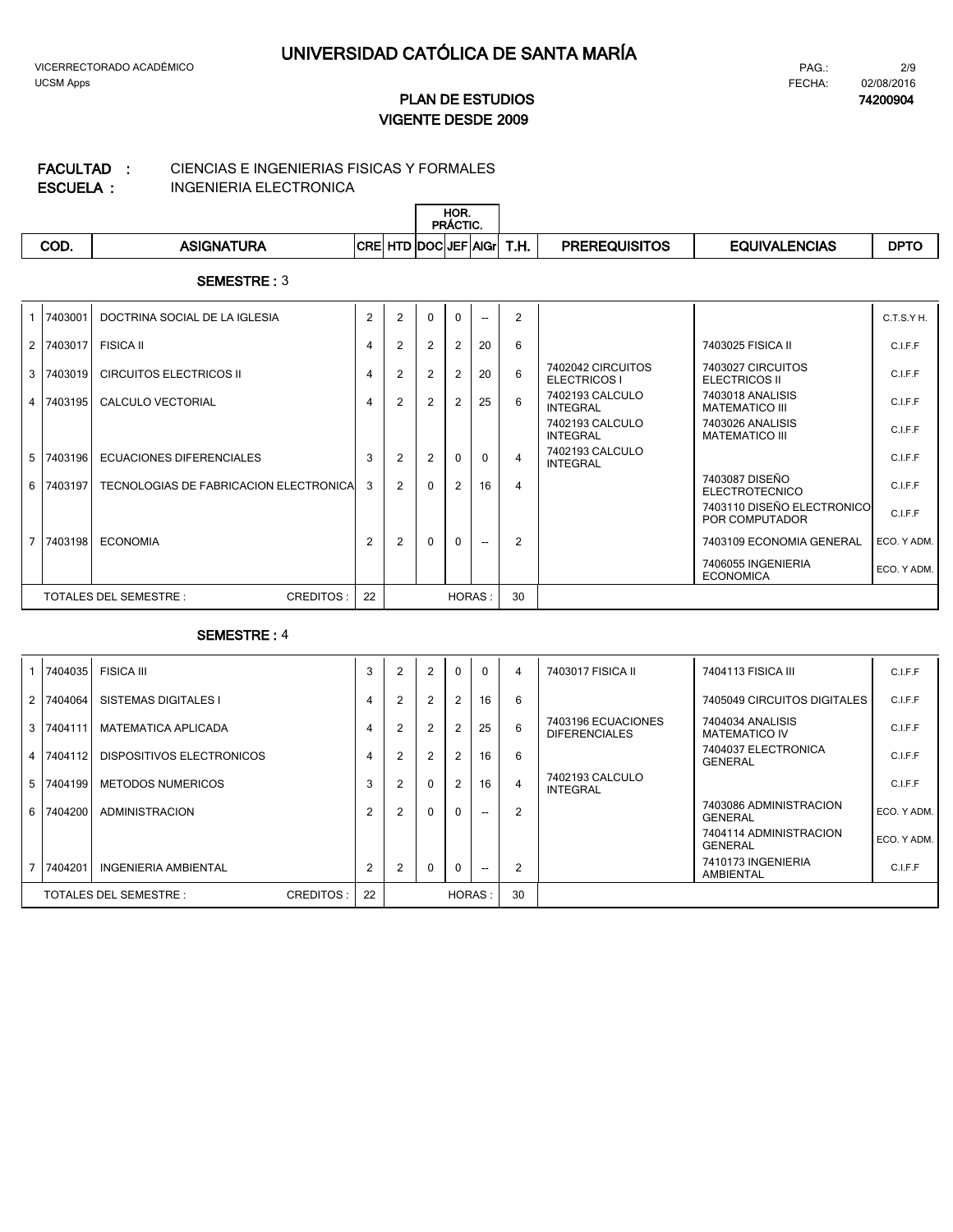#### CIENCIAS E INGENIERIAS FISICAS Y FORMALES **FACULTAD :**

**ESCUELA :**

INGENIERIA ELECTRONICA

|     |            | HOR.<br><b>PRÁCTIC.</b>                                         |                      |               |             |
|-----|------------|-----------------------------------------------------------------|----------------------|---------------|-------------|
| COD | ASIGNATURA | <b>TD DOCUEF'</b><br><b>CRE</b><br>l HTD<br><b>AIGr</b><br>ı.п. | <b>PREREQUISITOS</b> | EQUIVALENCIAS | <b>DPTO</b> |

#### **SEMESTRE :** 3

| 7403001   | DOCTRINA SOCIAL DE LA IGLESIA          | $\overline{2}$ | $\overline{2}$ | $\mathbf{0}$   | $\Omega$       | --       | $\overline{2}$ |                                    |                                              | C.T.S.Y H.  |
|-----------|----------------------------------------|----------------|----------------|----------------|----------------|----------|----------------|------------------------------------|----------------------------------------------|-------------|
| 2 7403017 | <b>FISICA II</b>                       | 4              |                | 2              | $\overline{2}$ | 20       | 6              |                                    | 7403025 FISICA II                            | C.I.F.F     |
| 3 7403019 | <b>CIRCUITOS ELECTRICOS II</b>         | 4              | $\mathfrak{p}$ | 2              | $\overline{2}$ | 20       | 6              | 7402042 CIRCUITOS<br>ELECTRICOS I  | 7403027 CIRCUITOS<br><b>ELECTRICOS II</b>    | C.I.F.F     |
| 4 7403195 | CALCULO VECTORIAL                      | 4              |                | $\overline{2}$ | 2              | 25       | 6              | 7402193 CALCULO<br>INTEGRAL        | 7403018 ANALISIS<br><b>MATEMATICO III</b>    | C.I.F.F     |
|           |                                        |                |                |                |                |          |                | 7402193 CALCULO<br><b>INTEGRAL</b> | 7403026 ANALISIS<br><b>MATEMATICO III</b>    | C.I.F.F     |
| 5 7403196 | ECUACIONES DIFERENCIALES               | 3              |                | 2              | $\Omega$       | $\Omega$ | 4              | 7402193 CALCULO<br>INTEGRAL        |                                              | C.I.F.F     |
| 6 7403197 | TECNOLOGIAS DE FABRICACION ELECTRONICA | 3              | 2              | $\mathbf{0}$   | 2              | 16       | 4              |                                    | 7403087 DISEÑO<br><b>ELECTROTECNICO</b>      | C.I.F.F     |
|           |                                        |                |                |                |                |          |                |                                    | 7403110 DISEÑO ELECTRONICO<br>POR COMPUTADOR | C.I.F.F     |
| 7 7403198 | <b>ECONOMIA</b>                        | 2              | 2              | $\mathbf{0}$   | $\Omega$       | --       | 2              |                                    | 7403109 ECONOMIA GENERAL                     | ECO. Y ADM. |
|           |                                        |                |                |                |                |          |                |                                    | 7406055 INGENIERIA<br><b>ECONOMICA</b>       | ECO. Y ADM. |
|           | CREDITOS:<br>TOTALES DEL SEMESTRE :    | 22             |                |                | HORAS:         |          | 30             |                                    |                                              |             |

|     | 7404035 | FISICA III                  |           | 3              | 2              | 2        | $\Omega$      | $\Omega$ | $\overline{4}$ | 7403017 FISICA II                          | 7404113 FISICA III                       | C.I.F.F     |
|-----|---------|-----------------------------|-----------|----------------|----------------|----------|---------------|----------|----------------|--------------------------------------------|------------------------------------------|-------------|
| 2   | 7404064 | SISTEMAS DIGITALES I        |           | 4              |                | 2        | 2             | 16       | 6              |                                            | 7405049 CIRCUITOS DIGITALES              | C.I.F.F     |
| 3 I | 7404111 | <b>MATEMATICA APLICADA</b>  |           | 4              |                | 2        |               | 25       | 6              | 7403196 ECUACIONES<br><b>DIFERENCIALES</b> | 7404034 ANALISIS<br><b>MATEMATICO IV</b> | C.I.F.F     |
| 4   | 7404112 | DISPOSITIVOS ELECTRONICOS   |           | 4              | $\overline{2}$ | 2        | 2             | 16       | 6              |                                            | 7404037 ELECTRONICA<br><b>GENERAL</b>    | C.I.F.F     |
| 5   | 7404199 | <b>METODOS NUMERICOS</b>    |           | 3              |                | $\Omega$ |               | 16       | $\overline{4}$ | 7402193 CALCULO<br>INTEGRAL                |                                          | C.I.F.F     |
| 6   | 7404200 | ADMINISTRACION              |           | $\overline{2}$ | 2              | $\Omega$ | $\Omega$      | $-$      | $\overline{2}$ |                                            | 7403086 ADMINISTRACION<br><b>GENERAL</b> | ECO. Y ADM. |
|     |         |                             |           |                |                |          |               |          |                |                                            | 7404114 ADMINISTRACION<br><b>GENERAL</b> | ECO. Y ADM. |
|     | 7404201 | <b>INGENIERIA AMBIENTAL</b> |           | $\overline{2}$ |                | $\Omega$ | $\Omega$      |          | $\overline{2}$ |                                            | 7410173 INGENIERIA<br>AMBIENTAL          | C.I.F.F     |
|     |         | TOTALES DEL SEMESTRE :      | CREDITOS: | 22             |                |          | <b>HORAS:</b> |          | 30             |                                            |                                          |             |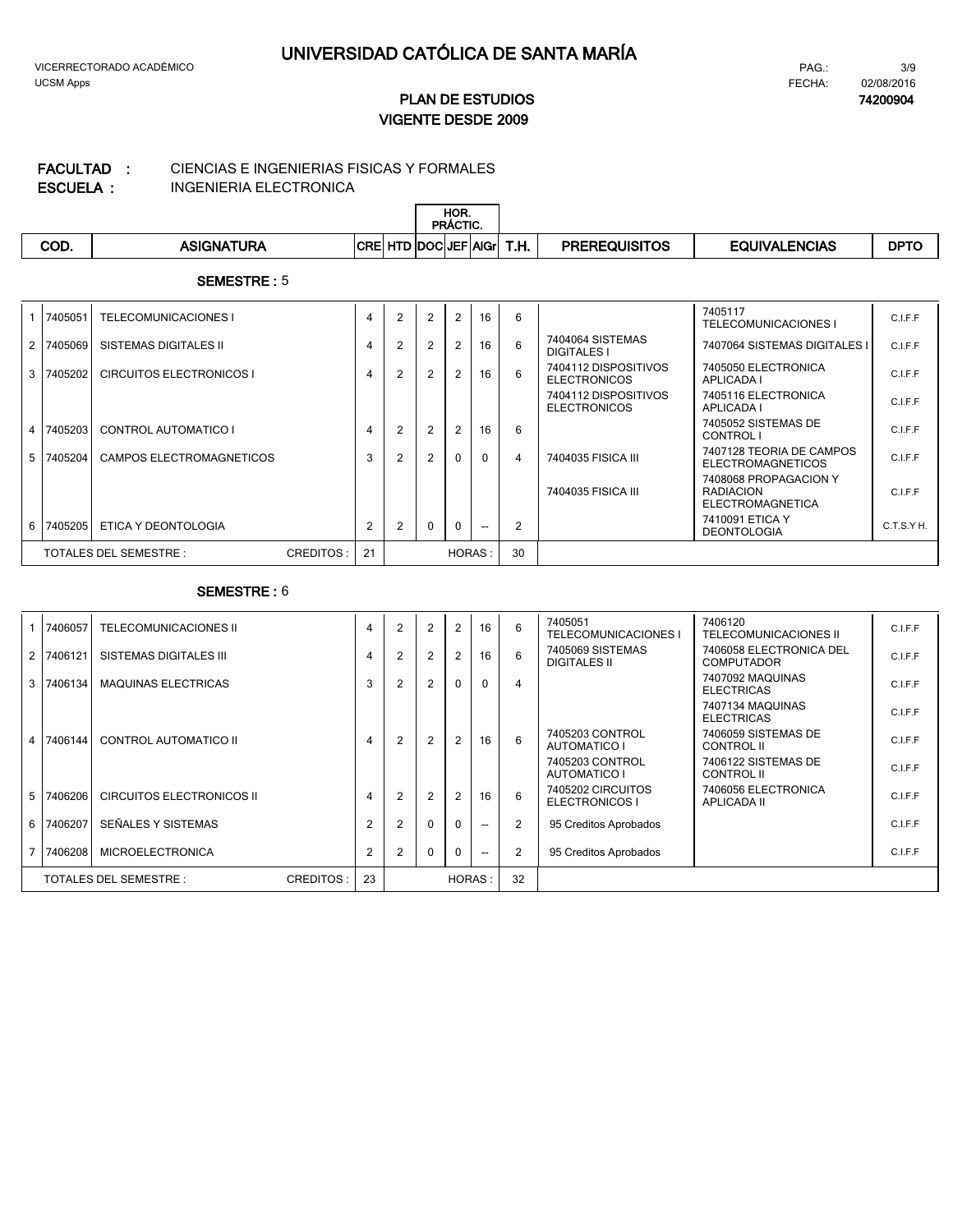#### CIENCIAS E INGENIERIAS FISICAS Y FORMALES **FACULTAD :**

**ESCUELA :**

 $\mathsf{I}$ 

INGENIERIA ELECTRONICA

|      |                   |                            |  | HOR.<br>PRACTIC. |      |                      |                      |             |
|------|-------------------|----------------------------|--|------------------|------|----------------------|----------------------|-------------|
| COD. | <b>ASIGNATURA</b> | <b>CRE HTD DOCUEF AGIL</b> |  |                  | T.H. | <b>PREREQUISITOS</b> | <b>EQUIVALENCIAS</b> | <b>DPTC</b> |

#### **SEMESTRE :** 5

|                | 7405051   | <b>TELECOMUNICACIONES I</b>     |           | $\overline{4}$ | $\overline{2}$ | 2              | 2              | 16 | 6  |                                             | 7405117<br><b>TELECOMUNICACIONES I</b>                               | C.I.F.F    |
|----------------|-----------|---------------------------------|-----------|----------------|----------------|----------------|----------------|----|----|---------------------------------------------|----------------------------------------------------------------------|------------|
| 2 <sup>1</sup> | 7405069   | <b>SISTEMAS DIGITALES II</b>    |           | $\overline{4}$ | $\overline{2}$ | 2              | $\overline{2}$ | 16 | 6  | 7404064 SISTEMAS<br><b>DIGITALES I</b>      | 7407064 SISTEMAS DIGITALES I                                         | C.I.F.F    |
|                | 3 7405202 | <b>CIRCUITOS ELECTRONICOS I</b> |           | $\overline{4}$ | $\overline{2}$ | 2              | 2              | 16 | 6  | 7404112 DISPOSITIVOS<br><b>ELECTRONICOS</b> | 7405050 ELECTRONICA<br>APLICADA I                                    | C.I.F.F    |
|                |           |                                 |           |                |                |                |                |    |    | 7404112 DISPOSITIVOS<br><b>ELECTRONICOS</b> | 7405116 ELECTRONICA<br>APLICADA I                                    | C.I.F.F    |
|                | 4 7405203 | <b>CONTROL AUTOMATICO I</b>     |           | $\overline{4}$ | 2              | 2              | 2              | 16 | 6  |                                             | 7405052 SISTEMAS DE<br>CONTROL I                                     | C.I.F.F    |
|                | 5 7405204 | CAMPOS ELECTROMAGNETICOS        |           | 3              | 2              | $\overline{2}$ | $\Omega$       | n  | 4  | 7404035 FISICA III                          | 7407128 TEORIA DE CAMPOS<br><b>ELECTROMAGNETICOS</b>                 | C.I.F.F    |
|                |           |                                 |           |                |                |                |                |    |    | 7404035 FISICA III                          | 7408068 PROPAGACION Y<br><b>RADIACION</b><br><b>ELECTROMAGNETICA</b> | C.I.F.F    |
|                | 6 7405205 | ETICA Y DEONTOLOGIA             |           | 2              | $\mathcal{P}$  | $\mathbf{0}$   | $\mathbf{0}$   | -- | 2  |                                             | 7410091 ETICA Y<br><b>DEONTOLOGIA</b>                                | C.T.S.Y H. |
|                |           | TOTALES DEL SEMESTRE :          | CREDITOS: | 21             |                |                | <b>HORAS:</b>  |    | 30 |                                             |                                                                      |            |

| 7406057   | <b>TELECOMUNICACIONES II</b>        | 4              | $\overline{2}$ | 2              | $\overline{2}$ | 16       | 6  | 7405051<br><b>TELECOMUNICACIONES I</b>  | 7406120<br>TELECOMUNICACIONES II             | C.I.F.F |
|-----------|-------------------------------------|----------------|----------------|----------------|----------------|----------|----|-----------------------------------------|----------------------------------------------|---------|
| 2 7406121 | SISTEMAS DIGITALES III              | 4              | $\overline{2}$ | $\overline{2}$ |                | 16       | 6  | 7405069 SISTEMAS<br><b>DIGITALES II</b> | 7406058 ELECTRONICA DEL<br><b>COMPUTADOR</b> | C.I.F.F |
| 3 7406134 | <b>MAQUINAS ELECTRICAS</b>          | 3              | $\overline{2}$ | $\overline{2}$ | 0              | $\Omega$ | 4  |                                         | 7407092 MAQUINAS<br><b>ELECTRICAS</b>        | C.I.F.F |
|           |                                     |                |                |                |                |          |    |                                         | 7407134 MAQUINAS<br><b>ELECTRICAS</b>        | C.I.F.F |
| 4 7406144 | CONTROL AUTOMATICO II               | 4              | $\mathfrak{p}$ | $\overline{2}$ |                | 16       | 6  | 7405203 CONTROL<br>AUTOMATICO I         | 7406059 SISTEMAS DE<br>CONTROL II            | C.I.F.F |
|           |                                     |                |                |                |                |          |    | 7405203 CONTROL<br><b>AUTOMATICO I</b>  | 7406122 SISTEMAS DE<br><b>CONTROL II</b>     | C.I.F.F |
| 5 7406206 | <b>CIRCUITOS ELECTRONICOS II</b>    | 4              | $\overline{2}$ | 2              | 2              | 16       | 6  | 7405202 CIRCUITOS<br>ELECTRONICOS I     | 7406056 ELECTRONICA<br>APLICADA II           | C.I.F.F |
| 6 7406207 | SEÑALES Y SISTEMAS                  | $\overline{2}$ | 2              | $\Omega$       | <sup>0</sup>   | $- -$    | 2  | 95 Creditos Aprobados                   |                                              | C.LE.F  |
| 7 7406208 | <b>MICROELECTRONICA</b>             | $\overline{2}$ | 2              | $\Omega$       | O              | $- -$    | 2  | 95 Creditos Aprobados                   |                                              | C.I.F.F |
|           | CREDITOS:<br>TOTALES DEL SEMESTRE : | 23             |                |                |                | HORAS:   | 32 |                                         |                                              |         |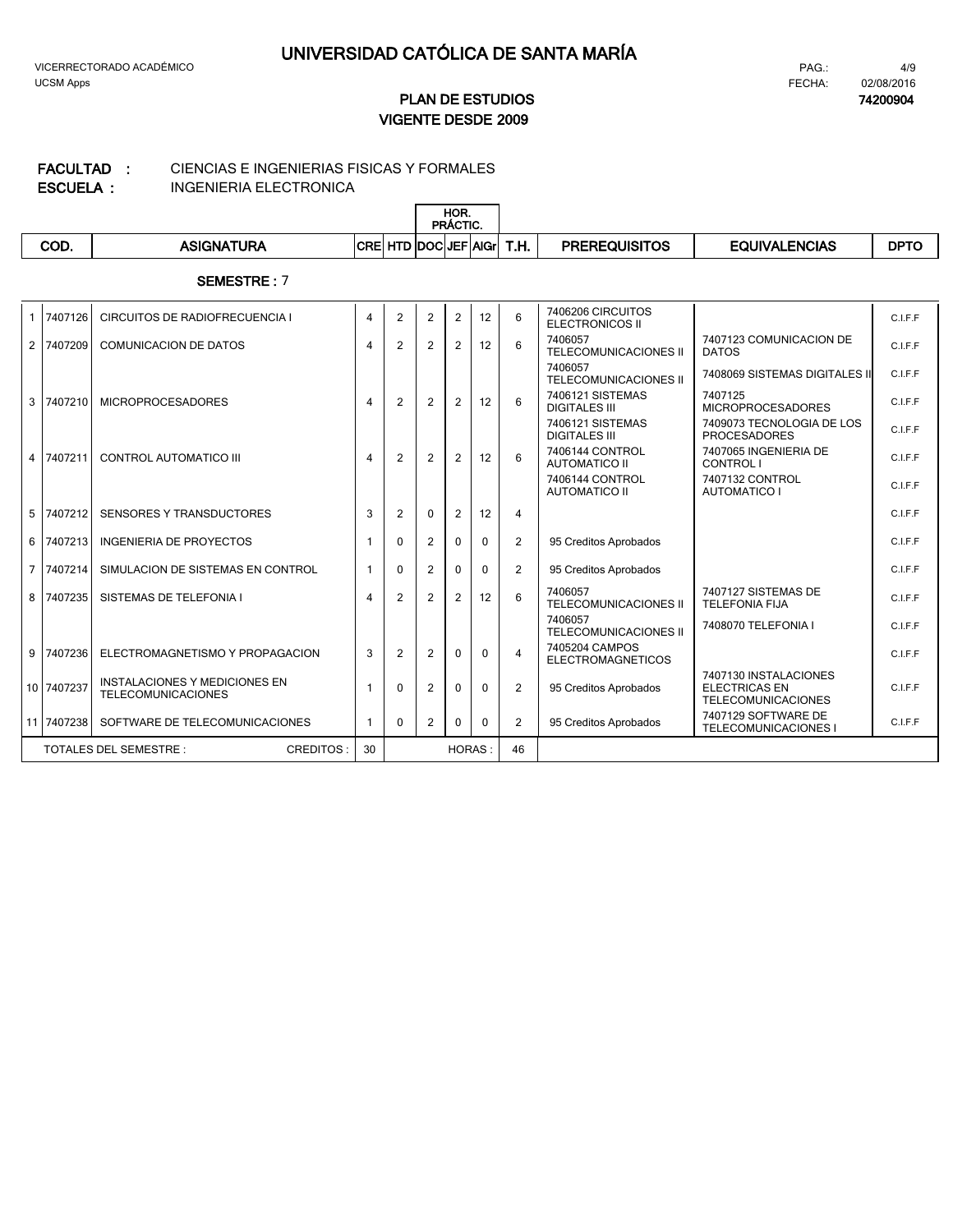**74200904**

## **VIGENTE DESDE 2009 PLAN DE ESTUDIOS**

#### CIENCIAS E INGENIERIAS FISICAS Y FORMALES **FACULTAD :**

**ESCUELA :**

INGENIERIA ELECTRONICA

|            |                      |   |                      | HOR.<br><b>PRÁCTIC.</b> |      |                      |                      |             |
|------------|----------------------|---|----------------------|-------------------------|------|----------------------|----------------------|-------------|
| <b>COD</b> | <b>SIGNA</b><br>TURA | . | 1TD  DOC  JEF   AIGr |                         | T.H. | <b>PREREQUISITOS</b> | <b>EQUIVALENCIAS</b> | <b>DPTO</b> |

| $\mathbf{1}$   | 7407126    | CIRCUITOS DE RADIOFRECUENCIA I                                    | $\overline{4}$ | $\overline{2}$ | $\overline{2}$ | 2              | 12       | 6              | 7406206 CIRCUITOS<br><b>ELECTRONICOS II</b> |                                                                            | C.I.F.F |
|----------------|------------|-------------------------------------------------------------------|----------------|----------------|----------------|----------------|----------|----------------|---------------------------------------------|----------------------------------------------------------------------------|---------|
|                | 2 7407209  | <b>COMUNICACION DE DATOS</b>                                      | $\overline{4}$ | 2              | 2              | 2              | 12       | 6              | 7406057<br>TELECOMUNICACIONES II            | 7407123 COMUNICACION DE<br><b>DATOS</b>                                    | C.I.F.F |
|                |            |                                                                   |                |                |                |                |          |                | 7406057<br><b>TELECOMUNICACIONES II</b>     | 7408069 SISTEMAS DIGITALES II                                              | C.I.F.F |
|                | 3 7407210  | <b>MICROPROCESADORES</b>                                          | $\overline{4}$ | 2              | 2              | 2              | 12       | 6              | 7406121 SISTEMAS<br><b>DIGITALES III</b>    | 7407125<br><b>MICROPROCESADORES</b>                                        | C.I.F.F |
|                |            |                                                                   |                |                |                |                |          |                | 7406121 SISTEMAS<br><b>DIGITALES III</b>    | 7409073 TECNOLOGIA DE LOS<br><b>PROCESADORES</b>                           | C.I.F.F |
|                | 4 7407211  | CONTROL AUTOMATICO III                                            | $\overline{4}$ | 2              | 2              | 2              | 12       | 6              | 7406144 CONTROL<br><b>AUTOMATICO II</b>     | 7407065 INGENIERIA DE<br>CONTROL I                                         | C.I.F.F |
|                |            |                                                                   |                |                |                |                |          |                | 7406144 CONTROL<br><b>AUTOMATICO II</b>     | 7407132 CONTROL<br><b>AUTOMATICO I</b>                                     | C.I.F.F |
| 5              | 7407212    | <b>SENSORES Y TRANSDUCTORES</b>                                   | 3              | 2              | $\Omega$       | 2              | 12       | $\overline{4}$ |                                             |                                                                            | C.I.F.F |
| 6              | 7407213    | <b>INGENIERIA DE PROYECTOS</b>                                    |                | $\Omega$       | 2              | $\Omega$       | $\Omega$ | $\overline{2}$ | 95 Creditos Aprobados                       |                                                                            | C.I.F.F |
| $\overline{7}$ | 7407214    | SIMULACION DE SISTEMAS EN CONTROL                                 |                | $\mathbf{0}$   | 2              | $\Omega$       | $\Omega$ | 2              | 95 Creditos Aprobados                       |                                                                            | C.I.F.F |
| 8              | 7407235    | SISTEMAS DE TELEFONIA I                                           | $\overline{4}$ | 2              | 2              | $\overline{2}$ | 12       | 6              | 7406057<br><b>TELECOMUNICACIONES II</b>     | 7407127 SISTEMAS DE<br><b>TELEFONIA FIJA</b>                               | C.I.F.F |
|                |            |                                                                   |                |                |                |                |          |                | 7406057<br><b>TELECOMUNICACIONES II</b>     | 7408070 TELEFONIA I                                                        | C.I.F.F |
| 9              | 7407236    | ELECTROMAGNETISMO Y PROPAGACION                                   | 3              | 2              | 2              | $\Omega$       | $\Omega$ | $\overline{4}$ | 7405204 CAMPOS<br><b>ELECTROMAGNETICOS</b>  |                                                                            | C.I.F.F |
|                | 10 7407237 | <b>INSTALACIONES Y MEDICIONES EN</b><br><b>TELECOMUNICACIONES</b> |                | $\Omega$       | 2              | $\Omega$       | $\Omega$ | 2              | 95 Creditos Aprobados                       | 7407130 INSTALACIONES<br><b>ELECTRICAS EN</b><br><b>TELECOMUNICACIONES</b> | C.I.F.F |
|                | 11 7407238 | SOFTWARE DE TELECOMUNICACIONES                                    |                | $\Omega$       | 2              | $\Omega$       | U        | 2              | 95 Creditos Aprobados                       | 7407129 SOFTWARE DE<br><b>TELECOMUNICACIONES I</b>                         | C.I.F.F |
|                |            | <b>TOTALES DEL SEMESTRE:</b><br>CREDITOS:                         | 30             |                |                | <b>HORAS:</b>  |          | 46             |                                             |                                                                            |         |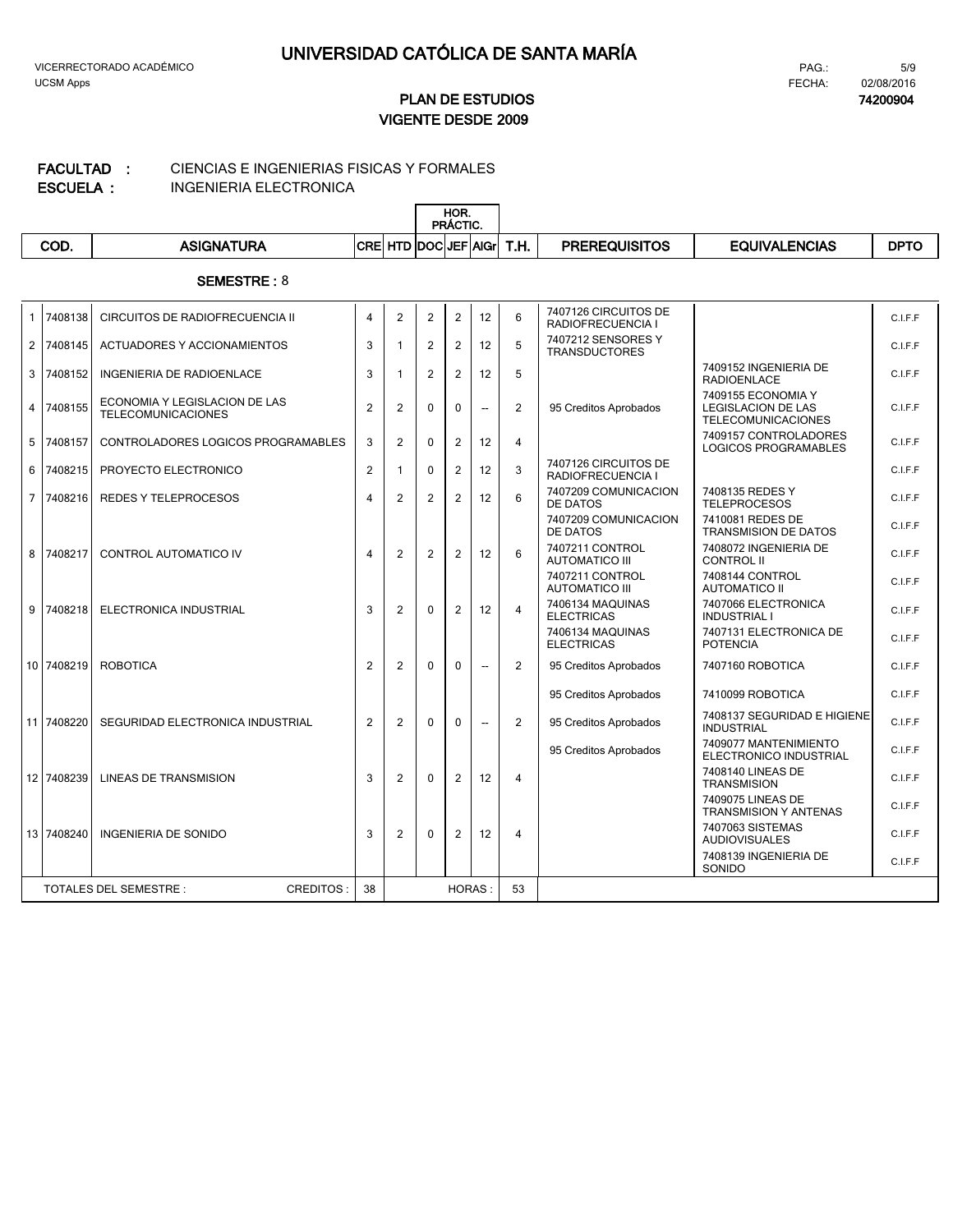**74200904**

## **VIGENTE DESDE 2009 PLAN DE ESTUDIOS**

#### CIENCIAS E INGENIERIAS FISICAS Y FORMALES **FACULTAD :**

**ESCUELA :**

INGENIERIA ELECTRONICA

|            |            | HOR.<br><b>PRÁCTIC.</b>       |      |                      |                      |             |
|------------|------------|-------------------------------|------|----------------------|----------------------|-------------|
| <b>COD</b> | ASIGNATURA | <b>CREI HTD DOCIJEFIAIGrI</b> | T.H. | <b>PREREQUISITOS</b> | <b>EQUIVALENCIAS</b> | <b>DPTC</b> |

| 1                                                | 7408138    | CIRCUITOS DE RADIOFRECUENCIA II                            | 4              | $\overline{2}$ | $\overline{2}$ | $\overline{2}$ | 12                       | 6              | 7407126 CIRCUITOS DE<br>RADIOFRECUENCIA I  |                                                                              | C.I.F.F |
|--------------------------------------------------|------------|------------------------------------------------------------|----------------|----------------|----------------|----------------|--------------------------|----------------|--------------------------------------------|------------------------------------------------------------------------------|---------|
|                                                  | 2 7408145  | ACTUADORES Y ACCIONAMIENTOS                                | 3              |                | $\overline{2}$ | 2              | 12                       | 5              | 7407212 SENSORES Y<br><b>TRANSDUCTORES</b> |                                                                              | C.I.F.F |
|                                                  | 3 7408152  | INGENIERIA DE RADIOENLACE                                  | 3              | 1              | $\overline{2}$ | $\overline{2}$ | 12                       | 5              |                                            | 7409152 INGENIERIA DE<br><b>RADIOENLACE</b>                                  | C.I.F.F |
|                                                  | 4 7408155  | ECONOMIA Y LEGISLACION DE LAS<br><b>TELECOMUNICACIONES</b> | $\overline{2}$ | 2              | 0              | $\Omega$       | $\overline{\phantom{a}}$ | 2              | 95 Creditos Aprobados                      | 7409155 ECONOMIA Y<br><b>LEGISLACION DE LAS</b><br><b>TELECOMUNICACIONES</b> | C.I.F.F |
|                                                  | 5 7408157  | CONTROLADORES LOGICOS PROGRAMABLES                         | 3              | 2              | $\Omega$       | 2              | 12                       | 4              |                                            | 7409157 CONTROLADORES<br><b>LOGICOS PROGRAMABLES</b>                         | C.I.F.F |
|                                                  | 6 7408215  | PROYECTO ELECTRONICO                                       | $\overline{2}$ | 1              | 0              | 2              | 12                       | 3              | 7407126 CIRCUITOS DE<br>RADIOFRECUENCIA I  |                                                                              | C.I.F.F |
|                                                  | 7 7408216  | REDES Y TELEPROCESOS                                       | 4              | 2              | $\overline{2}$ | 2              | 12                       | 6              | 7407209 COMUNICACION<br>DE DATOS           | 7408135 REDES Y<br><b>TELEPROCESOS</b>                                       | C.I.F.F |
|                                                  |            |                                                            |                |                |                |                |                          |                | 7407209 COMUNICACION<br>DE DATOS           | 7410081 REDES DE<br><b>TRANSMISION DE DATOS</b>                              | C.I.F.F |
|                                                  | 8 7408217  | <b>CONTROL AUTOMATICO IV</b>                               | 4              | $\overline{2}$ | $\overline{2}$ | 2              | 12                       | 6              | 7407211 CONTROL<br><b>AUTOMATICO III</b>   | 7408072 INGENIERIA DE<br><b>CONTROL II</b>                                   | C.I.F.F |
|                                                  |            |                                                            |                |                |                |                |                          |                | 7407211 CONTROL<br><b>AUTOMATICO III</b>   | 7408144 CONTROL<br><b>AUTOMATICO II</b>                                      | C.I.F.F |
| 9                                                | 7408218    | ELECTRONICA INDUSTRIAL                                     | 3              | 2              | $\Omega$       | 2              | 12                       | $\overline{4}$ | 7406134 MAQUINAS<br><b>ELECTRICAS</b>      | 7407066 ELECTRONICA<br><b>INDUSTRIAL I</b>                                   | C.I.F.F |
|                                                  |            |                                                            |                |                |                |                |                          |                | 7406134 MAQUINAS<br><b>ELECTRICAS</b>      | 7407131 ELECTRONICA DE<br><b>POTENCIA</b>                                    | C.I.F.F |
|                                                  | 10 7408219 | <b>ROBOTICA</b>                                            | $\overline{2}$ | 2              | $\Omega$       | $\Omega$       | $\overline{a}$           | 2              | 95 Creditos Aprobados                      | 7407160 ROBOTICA                                                             | C.I.F.F |
|                                                  |            |                                                            |                |                |                |                |                          |                | 95 Creditos Aprobados                      | 7410099 ROBOTICA                                                             | C.I.F.F |
|                                                  | 11 7408220 | SEGURIDAD ELECTRONICA INDUSTRIAL                           | $\overline{2}$ | 2              | $\Omega$       | $\Omega$       | $\overline{\phantom{a}}$ | 2              | 95 Creditos Aprobados                      | 7408137 SEGURIDAD E HIGIENE<br><b>INDUSTRIAL</b>                             | C.I.F.F |
|                                                  |            |                                                            |                |                |                |                |                          |                | 95 Creditos Aprobados                      | 7409077 MANTENIMIENTO<br>ELECTRONICO INDUSTRIAL                              | C.I.F.F |
|                                                  | 12 7408239 | LINEAS DE TRANSMISION                                      | 3              | $\overline{2}$ | $\Omega$       | 2              | 12                       | $\overline{4}$ |                                            | 7408140 LINEAS DE<br><b>TRANSMISION</b>                                      | C.I.F.F |
|                                                  |            |                                                            |                |                |                |                |                          |                |                                            | 7409075 LINEAS DE<br><b>TRANSMISION Y ANTENAS</b>                            | C.I.F.F |
|                                                  | 13 7408240 | <b>INGENIERIA DE SONIDO</b>                                | 3              | $\overline{2}$ | 0              | 2              | 12                       | $\overline{4}$ |                                            | 7407063 SISTEMAS<br><b>AUDIOVISUALES</b>                                     | C.I.F.F |
|                                                  |            |                                                            |                |                |                |                |                          |                |                                            | 7408139 INGENIERIA DE<br>SONIDO                                              | C.I.F.F |
| <b>TOTALES DEL SEMESTRE:</b><br><b>CREDITOS:</b> |            | 38                                                         |                |                | <b>HORAS:</b>  |                | 53                       |                |                                            |                                                                              |         |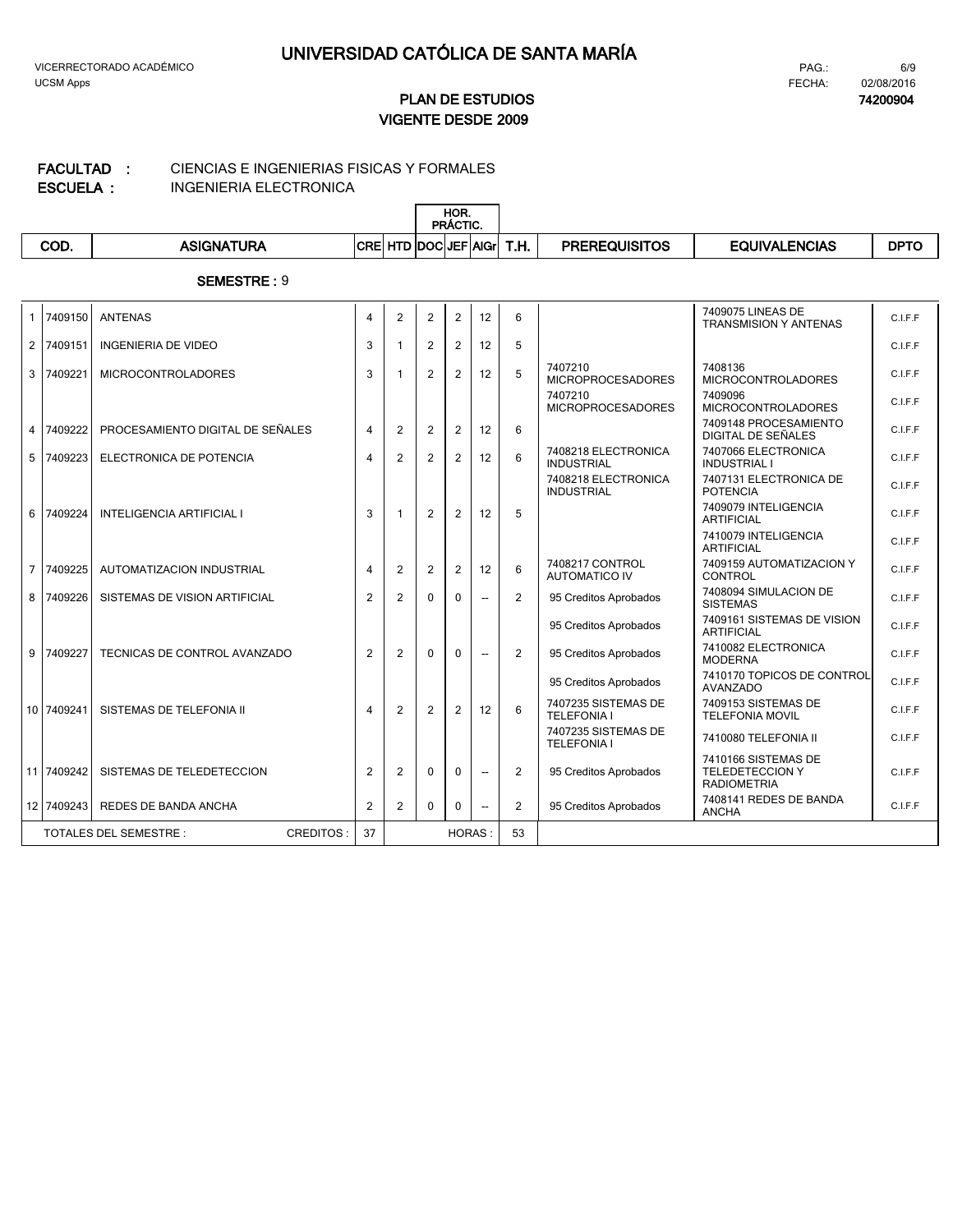**74200904**

## **VIGENTE DESDE 2009 PLAN DE ESTUDIOS**

## CIENCIAS E INGENIERIAS FISICAS Y FORMALES **FACULTAD :**

**ESCUELA :**

 $\overline{\mathbb{L}}$ 

INGENIERIA ELECTRONICA

|      |                   | HOR.<br>PRÁCTIC.           |      |                      |                      |             |
|------|-------------------|----------------------------|------|----------------------|----------------------|-------------|
| COD. | <b>ASIGNATURA</b> | <b>CRE HTD DOCUEF AGIL</b> | T.H. | <b>PREREQUISITOS</b> | <b>EQUIVALENCIAS</b> | <b>DPTO</b> |

|                                           | 1 7409150  | <b>ANTENAS</b>                   | 4              | $\overline{2}$ | 2              | 2              | 12                       | 6              |                                           | 7409075 LINEAS DE<br><b>TRANSMISION Y ANTENAS</b>                   | C.I.F.F |
|-------------------------------------------|------------|----------------------------------|----------------|----------------|----------------|----------------|--------------------------|----------------|-------------------------------------------|---------------------------------------------------------------------|---------|
|                                           | 2 7409151  | <b>INGENIERIA DE VIDEO</b>       | 3              | $\mathbf{1}$   | $\overline{2}$ | $\overline{2}$ | 12                       | 5              |                                           |                                                                     | C.I.F.F |
|                                           | 3 7409221  | <b>MICROCONTROLADORES</b>        | 3              | 1              | $\overline{2}$ | $\overline{2}$ | 12                       | 5              | 7407210<br><b>MICROPROCESADORES</b>       | 7408136<br><b>MICROCONTROLADORES</b>                                | C.I.F.F |
|                                           |            |                                  |                |                |                |                |                          |                | 7407210<br><b>MICROPROCESADORES</b>       | 7409096<br><b>MICROCONTROLADORES</b>                                | C.I.F.F |
|                                           | 4 7409222  | PROCESAMIENTO DIGITAL DE SEÑALES | $\overline{4}$ | 2              | 2              | $\overline{2}$ | 12                       | 6              |                                           | 7409148 PROCESAMIENTO<br>DIGITAL DE SEÑALES                         | C.I.F.F |
|                                           | 5 7409223  | ELECTRONICA DE POTENCIA          | $\overline{4}$ | 2              | $\overline{2}$ | $\overline{2}$ | 12                       | 6              | 7408218 ELECTRONICA<br><b>INDUSTRIAL</b>  | 7407066 ELECTRONICA<br><b>INDUSTRIAL I</b>                          | C.I.F.F |
|                                           |            |                                  |                |                |                |                |                          |                | 7408218 ELECTRONICA<br><b>INDUSTRIAL</b>  | 7407131 ELECTRONICA DE<br><b>POTENCIA</b>                           | C.I.F.F |
|                                           | 6 7409224  | <b>INTELIGENCIA ARTIFICIAL I</b> | 3              | $\mathbf{1}$   | 2              | $\overline{2}$ | 12                       | 5              |                                           | 7409079 INTELIGENCIA<br><b>ARTIFICIAL</b>                           | C.I.F.F |
|                                           |            |                                  |                |                |                |                |                          |                |                                           | 7410079 INTELIGENCIA<br><b>ARTIFICIAL</b>                           | C.I.F.F |
|                                           | 7 7409225  | AUTOMATIZACION INDUSTRIAL        | $\overline{4}$ | 2              | 2              | $\overline{2}$ | 12                       | 6              | 7408217 CONTROL<br><b>AUTOMATICO IV</b>   | 7409159 AUTOMATIZACION Y<br><b>CONTROL</b>                          | C.I.F.F |
|                                           | 8 7409226  | SISTEMAS DE VISION ARTIFICIAL    | 2              | $\overline{2}$ | 0              | $\Omega$       |                          | 2              | 95 Creditos Aprobados                     | 7408094 SIMULACION DE<br><b>SISTEMAS</b>                            | C.I.F.F |
|                                           |            |                                  |                |                |                |                |                          |                | 95 Creditos Aprobados                     | 7409161 SISTEMAS DE VISION<br><b>ARTIFICIAL</b>                     | C.I.F.F |
|                                           | 9 7409227  | TECNICAS DE CONTROL AVANZADO     | $\overline{2}$ | 2              | 0              | $\Omega$       | $\overline{\phantom{a}}$ | $\overline{2}$ | 95 Creditos Aprobados                     | 7410082 ELECTRONICA<br><b>MODERNA</b>                               | C.I.F.F |
|                                           |            |                                  |                |                |                |                |                          |                | 95 Creditos Aprobados                     | 7410170 TOPICOS DE CONTROL<br>AVANZADO                              | C.I.F.F |
|                                           | 10 7409241 | SISTEMAS DE TELEFONIA II         | $\overline{4}$ | $\overline{2}$ | $\overline{2}$ | $\overline{2}$ | 12                       | 6              | 7407235 SISTEMAS DE<br><b>TELEFONIA I</b> | 7409153 SISTEMAS DE<br><b>TELEFONIA MOVIL</b>                       | C.I.F.F |
|                                           |            |                                  |                |                |                |                |                          |                | 7407235 SISTEMAS DE<br><b>TELEFONIA I</b> | 7410080 TELEFONIA II                                                | C.I.F.F |
|                                           | 11 7409242 | SISTEMAS DE TELEDETECCION        | 2              | 2              | 0              | $\Omega$       | $\overline{\phantom{a}}$ | 2              | 95 Creditos Aprobados                     | 7410166 SISTEMAS DE<br><b>TELEDETECCION Y</b><br><b>RADIOMETRIA</b> | C.I.F.F |
|                                           | 12 7409243 | <b>REDES DE BANDA ANCHA</b>      | 2              | 2              | $\Omega$       | $\Omega$       | $\overline{\phantom{a}}$ | 2              | 95 Creditos Aprobados                     | 7408141 REDES DE BANDA<br><b>ANCHA</b>                              | C.I.F.F |
| <b>TOTALES DEL SEMESTRE:</b><br>CREDITOS: |            | 37                               | <b>HORAS:</b>  |                |                |                | 53                       |                |                                           |                                                                     |         |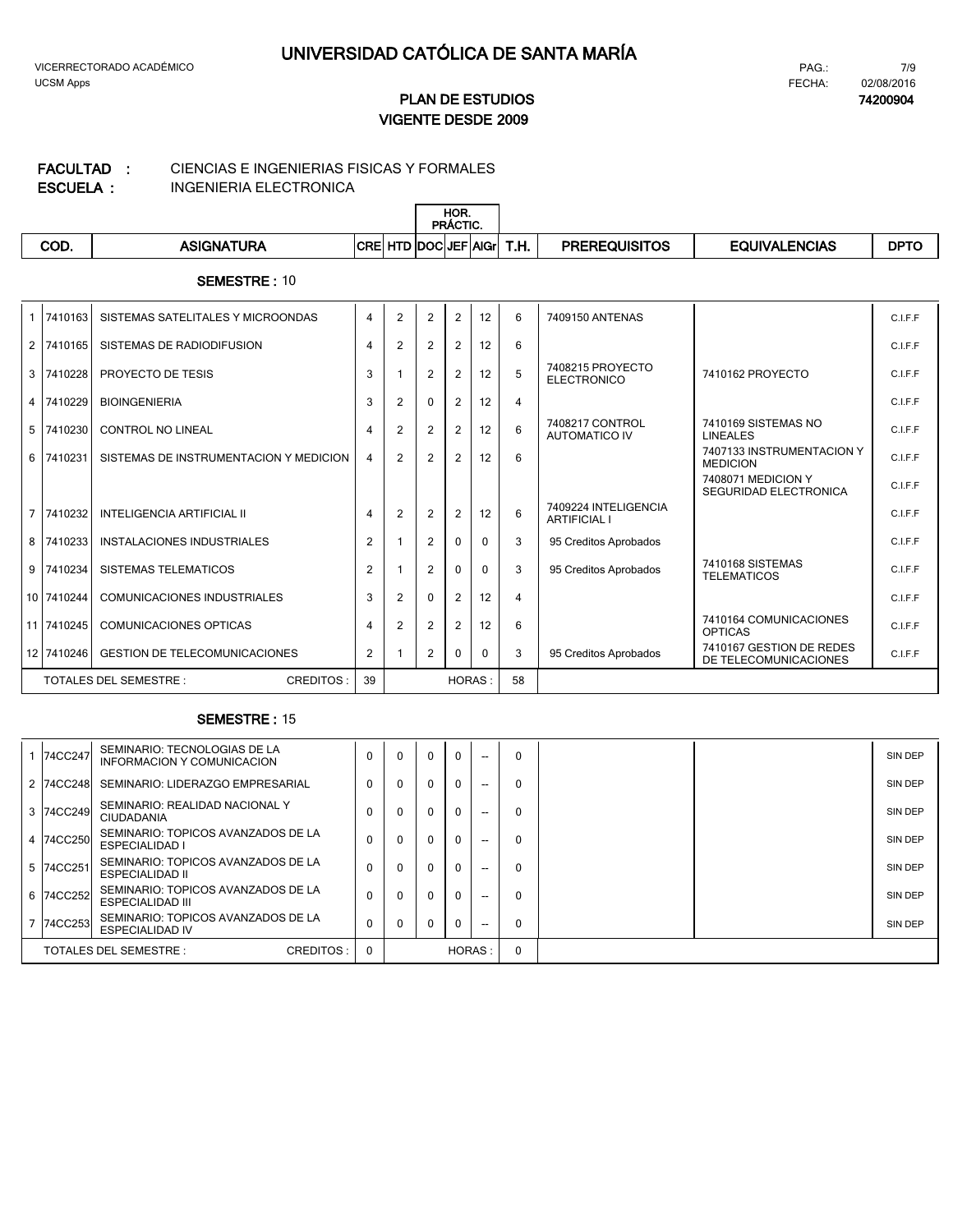#### CIENCIAS E INGENIERIAS FISICAS Y FORMALES **FACULTAD :**

**ESCUELA :**

 $\overline{1}$ 

INGENIERIA ELECTRONICA

|      |                   |            |                       | HOR.<br>PRÁCTIC. |             |                  |                      |               |             |
|------|-------------------|------------|-----------------------|------------------|-------------|------------------|----------------------|---------------|-------------|
| COD. | <b>ASIGNATURA</b> | <b>CRE</b> | D DOCUEF <sup>1</sup> |                  | <b>AIGr</b> | <u>ти</u><br>.ה. | <b>PREREQUISITOS</b> | EQUIVALENCIAS | <b>DPTO</b> |

#### **SEMESTRE :** 10

|                                           | 1 7410163  | SISTEMAS SATELITALES Y MICROONDAS      | $\overline{4}$ | $\overline{2}$ | $\overline{2}$ | $\overline{2}$ | 12           | 6                       | 7409150 ANTENAS                             |                                                    | C.I.F.F |
|-------------------------------------------|------------|----------------------------------------|----------------|----------------|----------------|----------------|--------------|-------------------------|---------------------------------------------|----------------------------------------------------|---------|
| 2 <sub>1</sub>                            | 7410165    | SISTEMAS DE RADIODIFUSION              | $\overline{4}$ | $\overline{2}$ | 2              | 2              | 12           | 6                       |                                             |                                                    | C.I.F.F |
|                                           | 3 7410228  | PROYECTO DE TESIS                      | 3              |                | $\overline{2}$ | $\overline{2}$ | 12           | 5                       | 7408215 PROYECTO<br><b>ELECTRONICO</b>      | 7410162 PROYECTO                                   | C.I.F.F |
|                                           | 4 7410229  | <b>BIOINGENIERIA</b>                   | 3              | $\overline{2}$ | $\Omega$       | 2              | 12           | $\overline{\mathbf{4}}$ |                                             |                                                    | C.I.F.F |
|                                           | 5 7410230  | <b>CONTROL NO LINEAL</b>               | $\overline{4}$ | $\overline{2}$ | $\overline{2}$ | 2              | 12           | 6                       | 7408217 CONTROL<br><b>AUTOMATICO IV</b>     | 7410169 SISTEMAS NO<br><b>LINEALES</b>             | C.I.F.F |
|                                           | 6 7410231  | SISTEMAS DE INSTRUMENTACION Y MEDICION | $\overline{4}$ | 2              | 2              | 2              | 12           | 6                       |                                             | 7407133 INSTRUMENTACION Y<br><b>MEDICION</b>       | C.I.F.F |
|                                           |            |                                        |                |                |                |                |              |                         |                                             | 7408071 MEDICION Y<br><b>SEGURIDAD ELECTRONICA</b> | C.I.F.F |
| $\overline{7}$                            | 7410232    | <b>INTELIGENCIA ARTIFICIAL II</b>      | 4              | 2              | $\overline{2}$ | $\overline{2}$ | 12           | 6                       | 7409224 INTELIGENCIA<br><b>ARTIFICIAL I</b> |                                                    | C.I.F.F |
| 8                                         | 7410233    | INSTALACIONES INDUSTRIALES             | $\overline{2}$ |                | 2              | $\Omega$       | $\Omega$     | 3                       | 95 Creditos Aprobados                       |                                                    | C.I.F.F |
|                                           | 9 7410234  | SISTEMAS TELEMATICOS                   | $\overline{2}$ |                | $\overline{2}$ | $\Omega$       | <sup>0</sup> | 3                       | 95 Creditos Aprobados                       | 7410168 SISTEMAS<br><b>TELEMATICOS</b>             | C.I.F.F |
|                                           | 10 7410244 | <b>COMUNICACIONES INDUSTRIALES</b>     | 3              | $\overline{2}$ | $\Omega$       | 2              | 12           | 4                       |                                             |                                                    | C.I.F.F |
|                                           | 11 7410245 | <b>COMUNICACIONES OPTICAS</b>          | $\overline{4}$ | 2              | $\overline{2}$ | $\overline{2}$ | 12           | 6                       |                                             | 7410164 COMUNICACIONES<br><b>OPTICAS</b>           | C.I.F.F |
|                                           | 12 7410246 | <b>GESTION DE TELECOMUNICACIONES</b>   | $\overline{2}$ |                | $\overline{2}$ | $\Omega$       | <sup>0</sup> | 3                       | 95 Creditos Aprobados                       | 7410167 GESTION DE REDES<br>DE TELECOMUNICACIONES  | C.I.F.F |
| <b>TOTALES DEL SEMESTRE:</b><br>CREDITOS: |            | 39                                     |                |                | <b>HORAS:</b>  |                | 58           |                         |                                             |                                                    |         |

|                                     | 74CC247   | SEMINARIO: TECNOLOGIAS DE LA<br>INFORMACION Y COMUNICACION   | $\Omega$     |  | $\mathbf{0}$ | 0 | --       | $\Omega$ | SIN DEP |
|-------------------------------------|-----------|--------------------------------------------------------------|--------------|--|--------------|---|----------|----------|---------|
|                                     | 2 74CC248 | SEMINARIO: LIDERAZGO EMPRESARIAL                             | $\Omega$     |  | $\mathbf{0}$ |   | --       | $\Omega$ | SIN DEP |
|                                     | 3 74CC249 | SEMINARIO: REALIDAD NACIONAL Y<br>CIUDADANIA                 |              |  | $\Omega$     | 0 | --       | $\Omega$ | SIN DEP |
|                                     | 4 74CC250 | SEMINARIO: TOPICOS AVANZADOS DE LA<br>ESPECIALIDAD I         | $\Omega$     |  | $\Omega$     |   | --       | $\Omega$ | SIN DEP |
|                                     | 5 74CC251 | SEMINARIO: TOPICOS AVANZADOS DE LA<br><b>ESPECIALIDAD II</b> | $\Omega$     |  | $\Omega$     |   | --       | $\Omega$ | SIN DEP |
|                                     | 6 74CC252 | SEMINARIO: TOPICOS AVANZADOS DE LA<br>ESPECIALIDAD III       | $\mathbf{0}$ |  | $\Omega$     |   | --       | $\Omega$ | SIN DEP |
|                                     | 74CC253   | SEMINARIO: TOPICOS AVANZADOS DE LA<br><b>ESPECIALIDAD IV</b> | $\Omega$     |  | $\Omega$     |   | --       | $\Omega$ | SIN DEP |
| CREDITOS:<br>TOTALES DEL SEMESTRE : |           | $\Omega$                                                     | HORAS:       |  |              |   | $\Omega$ |          |         |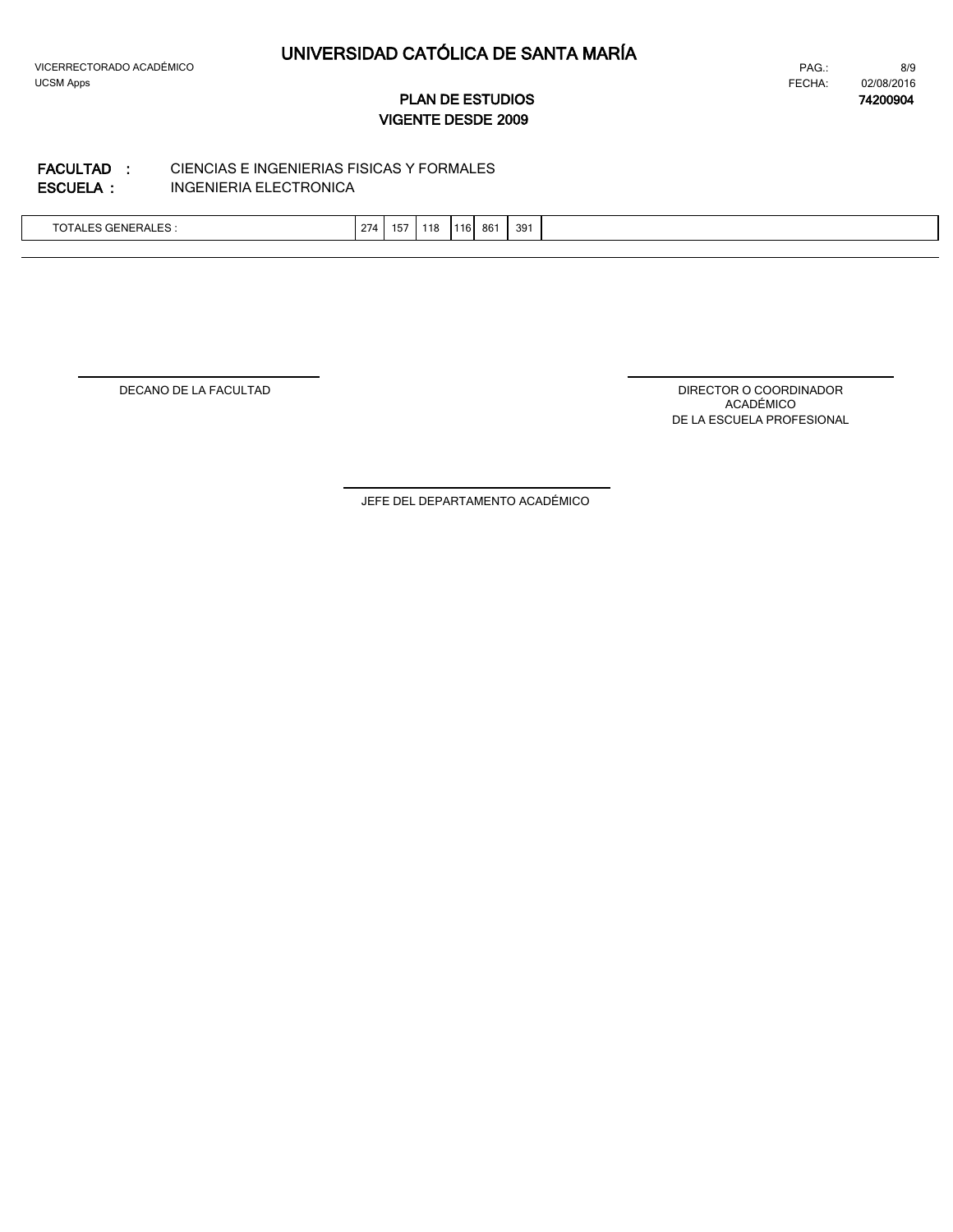$\lfloor$ 

# **UNIVERSIDAD CATÓLICA DE SANTA MARÍA**

8/9 FECHA: **74200904** 02/08/2016 PAG.:

**VIGENTE DESDE 2009 PLAN DE ESTUDIOS**

#### INGENIERIA ELECTRONICA CIENCIAS E INGENIERIAS FISICAS Y FORMALES **ESCUELA : FACULTAD :**

| TOTALES GENERALES : | $\sim$<br>274 | 15 <sub>1</sub> | $\overline{\phantom{a}}$<br>118 | 116. | $\sim$<br>-86 | 39 |  |
|---------------------|---------------|-----------------|---------------------------------|------|---------------|----|--|
|                     |               |                 |                                 |      |               |    |  |

DECANO DE LA FACULTAD

DIRECTOR O COORDINADOR ACADÉMICO DE LA ESCUELA PROFESIONAL

JEFE DEL DEPARTAMENTO ACADÉMICO